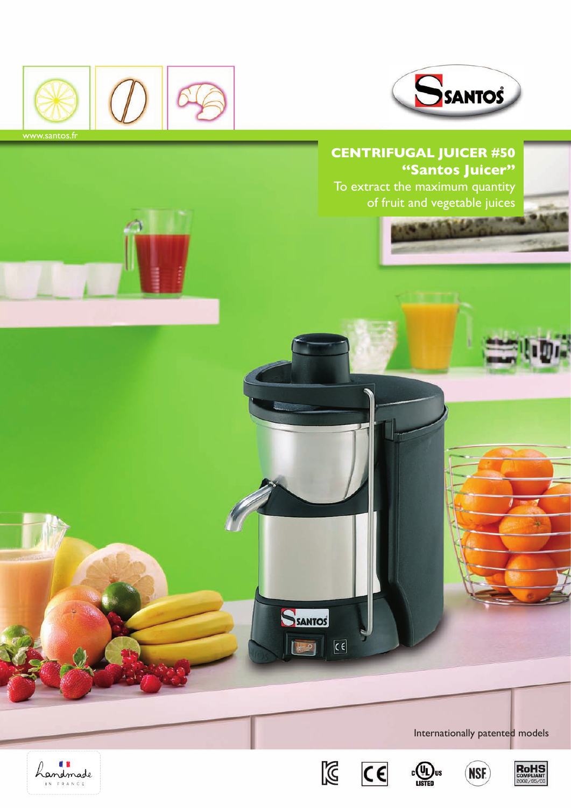



To extract the maximum quantity of fruit and vegetable juices



Landmade





SSANTOS

10

 $\overline{\mathfrak{c}}$ 





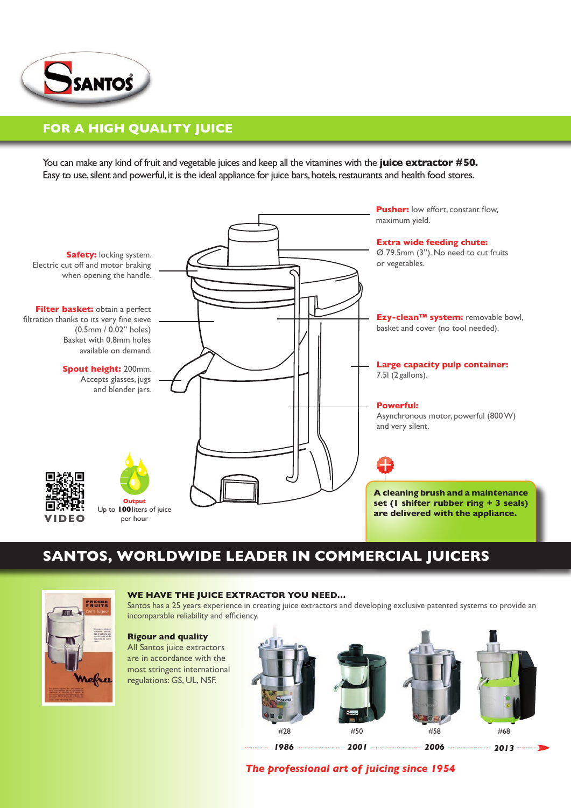

## **For a high quality juice**

You can make any kind of fruit and vegetable juices and keep all the vitamines with the **juice extractor #50.** Easy to use, silent and powerful, it is the ideal appliance for juice bars, hotels, restaurants and health food stores.



## **Santos, worldwide leader in commercial juicers**



### **We have the juice extractor you need…**

Santos has a 25 years experience in creating juice extractors and developing exclusive patented systems to provide an incomparable reliability and efficiency.

### **Rigour and quality**

All Santos juice extractors are in accordance with the most stringent international regulations: GS, UL, NSF.



*2013* 

*The professional art of juicing since 1954*

*1986 2001 2006*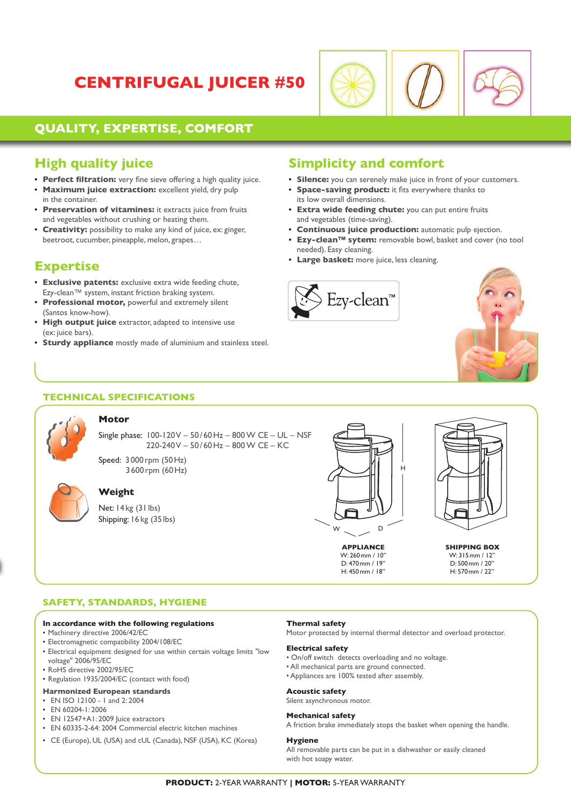# **Centrifugal Juicer #50**



## **Quality, expertise, comfort**

## **High quality juice**

- **• Perfect filtration:** very fine sieve offering a high quality juice.
- **Maximum juice extraction:** excellent yield, dry pulp in the container.
- **• Preservation of vitamines:** it extracts juice from fruits and vegetables without crushing or heating them.
- **• Creativity:** possibility to make any kind of juice, ex: ginger, beetroot, cucumber, pineapple, melon, grapes…

## **Expertise**

- **• Exclusive patents:** exclusive extra wide feeding chute, Ezy-clean™ system, instant friction braking system.
- **• Professional motor,** powerful and extremely silent (Santos know-how).
- **High output juice** extractor, adapted to intensive use (ex: juice bars).
- **•• Sturdy appliance** mostly made of aluminium and stainless steel.

## **Simplicity and comfort**

- **• Silence:** you can serenely make juice in front of your customers.
- **• Space-saving product:** it fits everywhere thanks to its low overall dimensions.
- **• Extra wide feeding chute:** you can put entire fruits and vegetables (time-saving).
- **• Continuous juice production:** automatic pulp ejection.
- **• Ezy-clean™ sytem:** removable bowl, basket and cover (no tool needed). Easy cleaning.
- **• Large basket:** more juice, less cleaning.





## **Technical specifications**



### **Motor**

Single phase: 100-120 V – 50/ 60Hz – 800 W CE – UL – NSF 220-240 V – 50 / 60Hz – 800 W CE – KC

Speed: 3 000 rpm (50Hz) 3 600 rpm (60Hz)



## **Weight**

Net: 14kg (31lbs) Shipping: 16 kg (35lbs)



W: 260mm / 10'' D: 470mm / 19'' H: 450mm / 18''



**APPliance SHIPPING BOX** W: 315mm / 12'' D: 500mm / 20'' H: 570mm / 22''

### **Safety, Standards, Hygiene**

#### **In accordance with the following regulations**

- Machinery directive 2006/42/EC
- Electromagnetic compatibility 2004/108/EC
- Electrical equipment designed for use within certain voltage limits "low voltage" 2006/95/EC
- RoHS directive 2002/95/EC
- Regulation 1935/2004/EC (contact with food)

### **Harmonized European standards**

- EN ISO 12100 1 and 2: 2004  $\cdot$  FN 60204-1:2006
- 
- EN 12547+A1: 2009 Juice extractors • EN 60335-2-64: 2004 Commercial electric kitchen machines
- CE (Europe), UL (USA) and cUL (Canada), NSF (USA), KC (Korea)

#### **Thermal safety**

Motor protected by internal thermal detector and overload protector.

#### **Electrical safety**

- On/off switch detects overloading and no voltage.
- All mechanical parts are ground connected.
- Appliances are 100% tested after assembly.

#### **Acoustic safety**

Silent asynchronous motor.

#### **Mechanical safety**

A friction brake immediately stops the basket when opening the handle.

#### **Hygiene**

All removable parts can be put in a dishwasher or easily cleaned with hot soapy water.